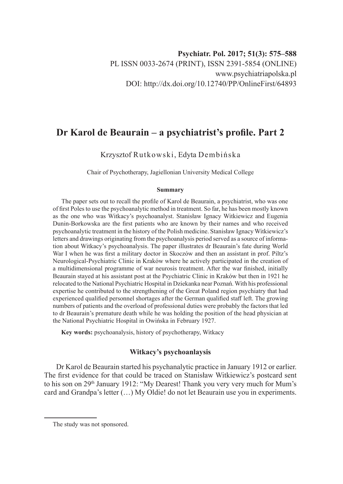# **Dr Karol de Beaurain – a psychiatrist's profile. Part 2**

Krzysztof Rutkowski, Edyta Dembińska

Chair of Psychotherapy, Jagiellonian University Medical College

#### **Summary**

The paper sets out to recall the profile of Karol de Beaurain, a psychiatrist, who was one of first Poles to use the psychoanalytic method in treatment. So far, he has been mostly known as the one who was Witkacy's psychoanalyst. Stanisław Ignacy Witkiewicz and Eugenia Dunin-Borkowska are the first patients who are known by their names and who received psychoanalytic treatment in the history of the Polish medicine. Stanisław Ignacy Witkiewicz's letters and drawings originating from the psychoanalysis period served as a source of information about Witkacy's psychoanalysis. The paper illustrates dr Beaurain's fate during World War I when he was first a military doctor in Skoczów and then an assistant in prof. Piltz's Neurological-Psychiatric Clinic in Kraków where he actively participated in the creation of a multidimensional programme of war neurosis treatment. After the war finished, initially Beaurain stayed at his assistant post at the Psychiatric Clinic in Kraków but then in 1921 he relocated to the National Psychiatric Hospital in Dziekanka near Poznań. With his professional expertise he contributed to the strengthening of the Great Poland region psychiatry that had experienced qualified personnel shortages after the German qualified staff left. The growing numbers of patients and the overload of professional duties were probably the factors that led to dr Beaurain's premature death while he was holding the position of the head physician at the National Psychiatric Hospital in Owińska in February 1927.

**Key words:** psychoanalysis, history of psychotherapy, Witkacy

# **Witkacy's psychoanlaysis**

Dr Karol de Beaurain started his psychanalytic practice in January 1912 or earlier. The first evidence for that could be traced on Stanisław Witkiewicz's postcard sent to his son on 29<sup>th</sup> January 1912: "My Dearest! Thank you very very much for Mum's card and Grandpa's letter (…) My Oldie! do not let Beaurain use you in experiments.

The study was not sponsored.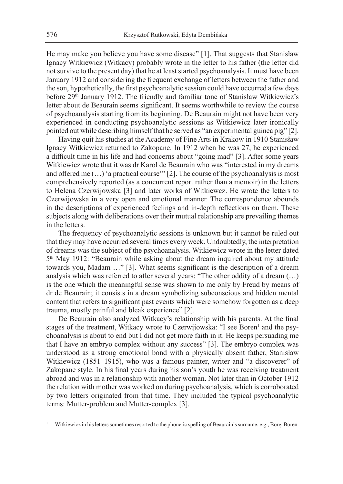He may make you believe you have some disease" [1]. That suggests that Stanisław Ignacy Witkiewicz (Witkacy) probably wrote in the letter to his father (the letter did not survive to the present day) that he at least started psychoanalysis. It must have been January 1912 and considering the frequent exchange of letters between the father and the son, hypothetically, the first psychoanalytic session could have occurred a few days before 29<sup>th</sup> January 1912. The friendly and familiar tone of Stanisław Witkiewicz's letter about de Beaurain seems significant. It seems worthwhile to review the course of psychoanalysis starting from its beginning. De Beaurain might not have been very experienced in conducting psychoanalytic sessions as Witkiewicz later ironically pointed out while describing himself that he served as "an experimental guinea pig" [2].

Having quit his studies at the Academy of Fine Arts in Krakow in 1910 Stanisław Ignacy Witkiewicz returned to Zakopane. In 1912 when he was 27, he experienced a difficult time in his life and had concerns about "going mad" [3]. After some years Witkiewicz wrote that it was dr Karol de Beaurain who was "interested in my dreams and offered me (…) 'a practical course'" [2]. The course of the psychoanalysis is most comprehensively reported (as a concurrent report rather than a memoir) in the letters to Helena Czerwijowska [3] and later works of Witkiewcz. He wrote the letters to Czerwijowska in a very open and emotional manner. The correspondence abounds in the descriptions of experienced feelings and in-depth reflections on them. These subjects along with deliberations over their mutual relationship are prevailing themes in the letters.

The frequency of psychoanalytic sessions is unknown but it cannot be ruled out that they may have occurred several times every week. Undoubtedly, the interpretation of dreams was the subject of the psychoanalysis. Witkiewicz wrote in the letter dated 5th May 1912: "Beaurain while asking about the dream inquired about my attitude towards you, Madam …" [3]. What seems significant is the description of a dream analysis which was referred to after several years: "The other oddity of a dream (…) is the one which the meaningful sense was shown to me only by Freud by means of dr de Beaurain; it consists in a dream symbolizing subconscious and hidden mental content that refers to significant past events which were somehow forgotten as a deep trauma, mostly painful and bleak experience" [2].

De Beaurain also analyzed Witkacy's relationship with his parents. At the final stages of the treatment, Witkacy wrote to Czerwijowska: "I see Boren<sup>1</sup> and the psychoanalysis is about to end but I did not get more faith in it. He keeps persuading me that I have an embryo complex without any success" [3]. The embryo complex was understood as a strong emotional bond with a physically absent father, Stanisław Witkiewicz (1851–1915), who was a famous painter, writer and "a discoverer" of Zakopane style. In his final years during his son's youth he was receiving treatment abroad and was in a relationship with another woman. Not later than in October 1912 the relation with mother was worked on during psychoanalysis, which is corroborated by two letters originated from that time. They included the typical psychoanalytic terms: Mutter-problem and Mutter-complex [3].

<sup>1</sup> Witkiewicz in his letters sometimes resorted to the phonetic spelling of Beaurain's surname, e.g., Borę, Boren.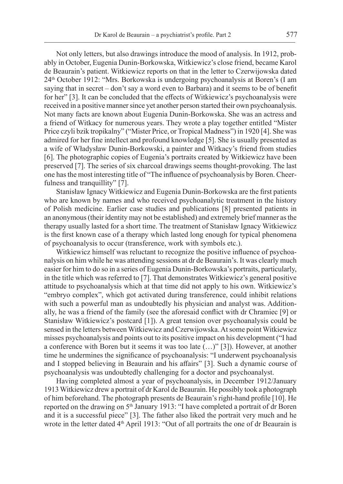Not only letters, but also drawings introduce the mood of analysis. In 1912, probably in October, Eugenia Dunin-Borkowska, Witkiewicz's close friend, became Karol de Beaurain's patient. Witkiewicz reports on that in the letter to Czerwijowska dated 24th October 1912: "Mrs. Borkowska is undergoing psychoanalysis at Boren's (I am saying that in secret – don't say a word even to Barbara) and it seems to be of benefit for her" [3]. It can be concluded that the effects of Witkiewicz's psychoanalysis were received in a positive manner since yet another person started their own psychoanalysis. Not many facts are known about Eugenia Dunin-Borkowska. She was an actress and a friend of Witkacy for numerous years. They wrote a play together entitled "Mister Price czyli bzik tropikalny" ("Mister Price, or Tropical Madness") in 1920 [4]. She was admired for her fine intellect and profound knowledge [5]. She is usually presented as a wife of Władysław Dunin-Borkowski, a painter and Witkacy's friend from studies [6]. The photographic copies of Eugenia's portraits created by Witkiewicz have been preserved [7]. The series of six charcoal drawings seems thought-provoking. The last one has the most interesting title of "The influence of psychoanalysis by Boren. Cheerfulness and tranquillity" [7].

Stanisław Ignacy Witkiewicz and Eugenia Dunin-Borkowska are the first patients who are known by names and who received psychoanalytic treatment in the history of Polish medicine. Earlier case studies and publications [8] presented patients in an anonymous (their identity may not be established) and extremely brief manner as the therapy usually lasted for a short time. The treatment of Stanisław Ignacy Witkiewicz is the first known case of a therapy which lasted long enough for typical phenomena of psychoanalysis to occur (transference, work with symbols etc.).

Witkiewicz himself was reluctant to recognize the positive influence of psychoanalysis on him while he was attending sessions at dr de Beaurain's. It was clearly much easier for him to do so in a series of Eugenia Dunin-Borkowska's portraits, particularly, in the title which was referred to [7]. That demonstrates Witkiewicz's general positive attitude to psychoanalysis which at that time did not apply to his own. Witkiewicz's "embryo complex", which got activated during transference, could inhibit relations with such a powerful man as undoubtedly his physician and analyst was. Additionally, he was a friend of the family (see the aforesaid conflict with dr Chramiec [9] or Stanisław Witkiewicz's postcard [1]). A great tension over psychoanalysis could be sensed in the letters between Witkiewicz and Czerwijowska. At some point Witkiewicz misses psychoanalysis and points out to its positive impact on his development ("I had a conference with Boren but it seems it was too late (…)" [3]). However, at another time he undermines the significance of psychoanalysis: "I underwent psychoanalysis and I stopped believing in Beaurain and his affairs" [3]. Such a dynamic course of psychoanalysis was undoubtedly challenging for a doctor and psychoanalyst.

Having completed almost a year of psychoanalysis, in December 1912/January 1913 Witkiewicz drew a portrait of dr Karol de Beaurain. He possibly took a photograph of him beforehand. The photograph presents de Beaurain's right-hand profile [10]. He reported on the drawing on 5<sup>th</sup> January 1913: "I have completed a portrait of dr Boren and it is a successful piece" [3]. The father also liked the portrait very much and he wrote in the letter dated 4<sup>th</sup> April 1913: "Out of all portraits the one of dr Beaurain is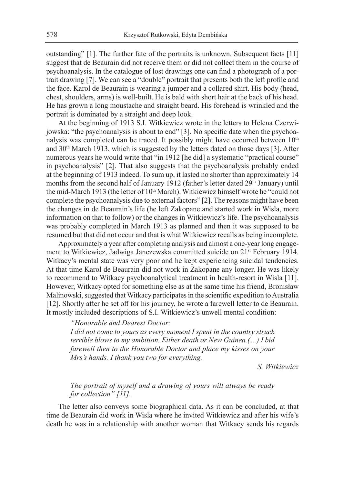outstanding" [1]. The further fate of the portraits is unknown. Subsequent facts [11] suggest that de Beaurain did not receive them or did not collect them in the course of psychoanalysis. In the catalogue of lost drawings one can find a photograph of a portrait drawing [7]. We can see a "double" portrait that presents both the left profile and the face. Karol de Beaurain is wearing a jumper and a collared shirt. His body (head, chest, shoulders, arms) is well-built. He is bald with short hair at the back of his head. He has grown a long moustache and straight beard. His forehead is wrinkled and the portrait is dominated by a straight and deep look.

At the beginning of 1913 S.I. Witkiewicz wrote in the letters to Helena Czerwijowska: "the psychoanalysis is about to end" [3]. No specific date when the psychoanalysis was completed can be traced. It possibly might have occurred between 10<sup>th</sup> and 30<sup>th</sup> March 1913, which is suggested by the letters dated on those days [3]. After numerous years he would write that "in 1912 [he did] a systematic "practical course" in psychoanalysis" [2]. That also suggests that the psychoanalysis probably ended at the beginning of 1913 indeed. To sum up, it lasted no shorter than approximately 14 months from the second half of January 1912 (father's letter dated 29<sup>th</sup> January) until the mid-March 1913 (the letter of 10<sup>th</sup> March). Witkiewicz himself wrote he "could not complete the psychoanalysis due to external factors" [2]. The reasons might have been the changes in de Beaurain's life (he left Zakopane and started work in Wisla, more information on that to follow) or the changes in Witkiewicz's life. The psychoanalysis was probably completed in March 1913 as planned and then it was supposed to be resumed but that did not occur and that is what Witkiewicz recalls as being incomplete.

Approximately a year after completing analysis and almost a one-year long engagement to Witkiewicz, Jadwiga Janczewska committed suicide on 21st February 1914. Witkacy's mental state was very poor and he kept experiencing suicidal tendencies. At that time Karol de Beaurain did not work in Zakopane any longer. He was likely to recommend to Witkacy psychoanalytical treatment in health-resort in Wisla [11]. However, Witkacy opted for something else as at the same time his friend, Bronisław Malinowski, suggested that Witkacy participates in the scientific expedition to Australia [12]. Shortly after he set off for his journey, he wrote a farewell letter to de Beaurain. It mostly included descriptions of S.I. Witkiewicz's unwell mental condition:

*"Honorable and Dearest Doctor:*

*I did not come to yours as every moment I spent in the country struck terrible blows to my ambition. Either death or New Guinea.(…) I bid farewell then to the Honorable Doctor and place my kisses on your Mrs's hands. I thank you two for everything.*

*S. Witkiewicz*

# *The portrait of myself and a drawing of yours will always be ready for collection" [11].*

The letter also conveys some biographical data. As it can be concluded, at that time de Beaurain did work in Wisla where he invited Witkiewicz and after his wife's death he was in a relationship with another woman that Witkacy sends his regards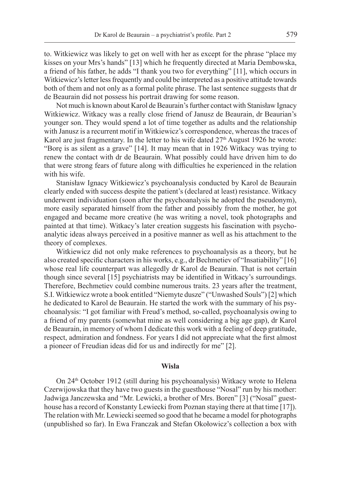to. Witkiewicz was likely to get on well with her as except for the phrase "place my kisses on your Mrs's hands" [13] which he frequently directed at Maria Dembowska, a friend of his father, he adds "I thank you two for everything" [11], which occurs in Witkiewicz's letter less frequently and could be interpreted as a positive attitude towards both of them and not only as a formal polite phrase. The last sentence suggests that dr de Beaurain did not possess his portrait drawing for some reason.

Not much is known about Karol de Beaurain's further contact with Stanisław Ignacy Witkiewicz. Witkacy was a really close friend of Janusz de Beaurain, dr Beaurian's younger son. They would spend a lot of time together as adults and the relationship with Janusz is a recurrent motif in Witkiewicz's correspondence, whereas the traces of Karol are just fragmentary. In the letter to his wife dated  $27<sup>th</sup>$  August 1926 he wrote: "Borę is as silent as a grave" [14]. It may mean that in 1926 Witkacy was trying to renew the contact with dr de Beaurain. What possibly could have driven him to do that were strong fears of future along with difficulties he experienced in the relation with his wife.

Stanisław Ignacy Witkiewicz's psychoanalysis conducted by Karol de Beaurain clearly ended with success despite the patient's (declared at least) resistance. Witkacy underwent individuation (soon after the psychoanalysis he adopted the pseudonym), more easily separated himself from the father and possibly from the mother, he got engaged and became more creative (he was writing a novel, took photographs and painted at that time). Witkacy's later creation suggests his fascination with psychoanalytic ideas always perceived in a positive manner as well as his attachment to the theory of complexes.

Witkiewicz did not only make references to psychoanalysis as a theory, but he also created specific characters in his works, e.g., dr Bechmetiev of "Insatiability" [16] whose real life counterpart was allegedly dr Karol de Beaurain. That is not certain though since several [15] psychiatrists may be identified in Witkacy's surroundings. Therefore, Bechmetiev could combine numerous traits. 23 years after the treatment, S.I. Witkiewicz wrote a book entitled "Niemyte dusze" ("Unwashed Souls") [2] which he dedicated to Karol de Beaurain. He started the work with the summary of his psychoanalysis: "I got familiar with Freud's method, so-called, psychoanalysis owing to a friend of my parents (somewhat mine as well considering a big age gap), dr Karol de Beaurain, in memory of whom I dedicate this work with a feeling of deep gratitude, respect, admiration and fondness. For years I did not appreciate what the first almost a pioneer of Freudian ideas did for us and indirectly for me" [2].

#### **Wisla**

On 24<sup>th</sup> October 1912 (still during his psychoanalysis) Witkacy wrote to Helena Czerwijowska that they have two guests in the guesthouse "Nosal" run by his mother: Jadwiga Janczewska and "Mr. Lewicki, a brother of Mrs. Boren" [3] ("Nosal" guesthouse has a record of Konstanty Lewiecki from Poznan staying there at that time [17]). The relation with Mr. Lewiecki seemed so good that he became a model for photographs (unpublished so far). In Ewa Franczak and Stefan Okołowicz's collection a box with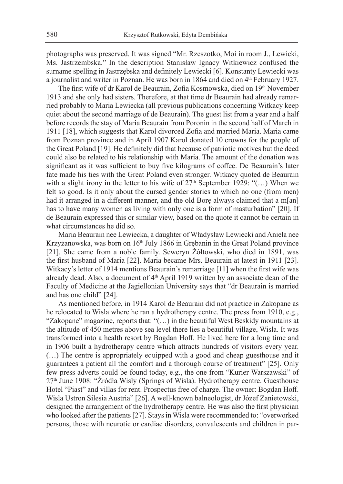photographs was preserved. It was signed "Mr. Rzeszotko, Moi in room J., Lewicki, Ms. Jastrzembska." In the description Stanisław Ignacy Witkiewicz confused the surname spelling in Jastrzębska and definitely Lewiecki [6]. Konstanty Lewiecki was a journalist and writer in Poznan. He was born in 1864 and died on 4th February 1927.

The first wife of dr Karol de Beaurain, Zofia Kosmowska, died on 19<sup>th</sup> November 1913 and she only had sisters. Therefore, at that time dr Beaurain had already remarried probably to Maria Lewiecka (all previous publications concerning Witkacy keep quiet about the second marriage of de Beaurain). The guest list from a year and a half before records the stay of Maria Beaurain from Poronin in the second half of March in 1911 [18], which suggests that Karol divorced Zofia and married Maria. Maria came from Poznan province and in April 1907 Karol donated 10 crowns for the people of the Great Poland [19]. He definitely did that because of patriotic motives but the deed could also be related to his relationship with Maria. The amount of the donation was significant as it was sufficient to buy five kilograms of coffee. De Beaurain's later fate made his ties with the Great Poland even stronger. Witkacy quoted de Beaurain with a slight irony in the letter to his wife of  $27<sup>th</sup>$  September 1929: "(...) When we felt so good. Is it only about the cursed gender stories to which no one (from men) had it arranged in a different manner, and the old Bore always claimed that a m[an] has to have many women as living with only one is a form of masturbation" [20]. If de Beaurain expressed this or similar view, based on the quote it cannot be certain in what circumstances he did so.

Maria Beaurain nee Lewiecka, a daughter of Władysław Lewiecki and Aniela nee Krzyżanowska, was born on 16<sup>th</sup> July 1866 in Grębanin in the Great Poland province [21]. She came from a noble family. Seweryn Żółtowski, who died in 1891, was the first husband of Maria [22]. Maria became Mrs. Beaurain at latest in 1911 [23]. Witkacy's letter of 1914 mentions Beaurain's remarriage [11] when the first wife was already dead. Also, a document of 4<sup>th</sup> April 1919 written by an associate dean of the Faculty of Medicine at the Jagiellonian University says that "dr Beaurain is married and has one child" [24].

As mentioned before, in 1914 Karol de Beaurain did not practice in Zakopane as he relocated to Wisla where he ran a hydrotherapy centre. The press from 1910, e.g., "Zakopane" magazine, reports that: "(…) in the beautiful West Beskidy mountains at the altitude of 450 metres above sea level there lies a beautiful village, Wisla. It was transformed into a health resort by Bogdan Hoff. He lived here for a long time and in 1906 built a hydrotherapy centre which attracts hundreds of visitors every year. (…) The centre is appropriately equipped with a good and cheap guesthouse and it guarantees a patient all the comfort and a thorough course of treatment" [25]. Only few press adverts could be found today, e.g., the one from "Kurier Warszawski" of 27th June 1908: "Źródła Wisły (Springs of Wisla). Hydrotherapy centre. Guesthouse Hotel "Piast" and villas for rent. Prospectus free of charge. The owner: Bogdan Hoff. Wisla Ustron Silesia Austria" [26]. A well-known balneologist, dr Józef Zanietowski, designed the arrangement of the hydrotherapy centre. He was also the first physician who looked after the patients [27]. Stays in Wisla were recommended to: "overworked persons, those with neurotic or cardiac disorders, convalescents and children in par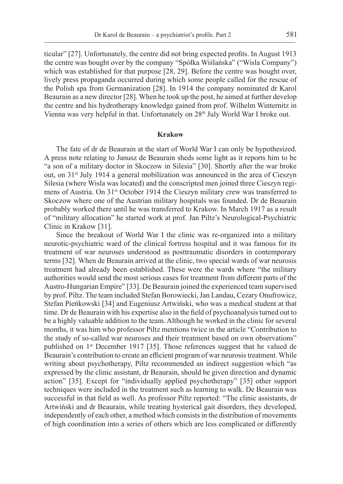ticular" [27]. Unfortunately, the centre did not bring expected profits. In August 1913 the centre was bought over by the company "Spółka Wiślańska" ("Wisla Company") which was established for that purpose [28, 29]. Before the centre was bought over, lively press propaganda occurred during which some people called for the rescue of the Polish spa from Germanization [28]. In 1914 the company nominated dr Karol Beaurain as a new director [28]. When he took up the post, he aimed at further develop the centre and his hydrotherapy knowledge gained from prof. Wilhelm Winternitz in Vienna was very helpful in that. Unfortunately on 28<sup>th</sup> July World War I broke out.

## **Krakow**

The fate of dr de Beaurain at the start of World War I can only be hypothesized. A press note relating to Janusz de Beaurain sheds some light as it reports him to be "a son of a military doctor in Skoczow in Silesia" [30]. Shortly after the war broke out, on  $31<sup>st</sup>$  July 1914 a general mobilization was announced in the area of Cieszyn Silesia (where Wisla was located) and the conscripted men joined three Cieszyn regimens of Austria. On 31st October 1914 the Cieszyn military crew was transferred to Skoczow where one of the Austrian military hospitals was founded. Dr de Beaurain probably worked there until he was transferred to Krakow. In March 1917 as a result of "military allocation" he started work at prof. Jan Piltz's Neurological-Psychiatric Clinic in Krakow [31].

Since the breakout of World War I the clinic was re-organized into a military neurotic-psychiatric ward of the clinical fortress hospital and it was famous for its treatment of war neuroses understood as posttraumatic disorders in contemporary terms [32]. When de Beaurain arrived at the clinic, two special wards of war neurosis treatment had already been established. These were the wards where "the military authorities would send the most serious cases for treatment from different parts of the Austro-Hungarian Empire" [33]. De Beaurain joined the experienced team supervised by prof. Piltz. The team included Stefan Borowiecki, Jan Landau, Cezary Onufrowicz, Stefan Pieńkowski [34] and Eugeniusz Artwiński, who was a medical student at that time. Dr de Beaurain with his expertise also in the field of psychoanalysis turned out to be a highly valuable addition to the team. Although he worked in the clinic for several months, it was him who professor Piltz mentions twice in the article "Contribution to the study of so-called war neuroses and their treatment based on own observations" published on 1<sup>st</sup> December 1917 [35]. Those references suggest that he valued de Beaurain's contribution to create an efficient program of war neurosis treatment. While writing about psychotherapy, Piltz recommended an indirect suggestion which "as expressed by the clinic assistant, dr Beaurain, should be given direction and dynamic action" [35]. Except for "individually applied psychotherapy" [35] other support techniques were included in the treatment such as learning to walk. De Beaurain was successful in that field as well. As professor Piltz reported: "The clinic assistants, dr Artwiński and dr Beaurain, while treating hysterical gait disorders, they developed, independently of each other, a method which consists in the distribution of movements of high coordination into a series of others which are less complicated or differently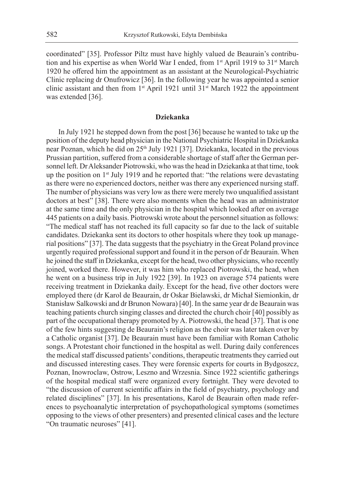coordinated" [35]. Professor Piltz must have highly valued de Beaurain's contribution and his expertise as when World War I ended, from 1<sup>st</sup> April 1919 to 31<sup>st</sup> March 1920 he offered him the appointment as an assistant at the Neurological-Psychiatric Clinic replacing dr Onufrowicz [36]. In the following year he was appointed a senior clinic assistant and then from 1st April 1921 until 31st March 1922 the appointment was extended [36].

## **Dziekanka**

In July 1921 he stepped down from the post [36] because he wanted to take up the position of the deputy head physician in the National Psychiatric Hospital in Dziekanka near Poznan, which he did on 25th July 1921 [37]. Dziekanka, located in the previous Prussian partition, suffered from a considerable shortage of staff after the German personnel left. Dr Aleksander Piotrowski, who was the head in Dziekanka at that time, took up the position on  $1<sup>st</sup>$  July 1919 and he reported that: "the relations were devastating as there were no experienced doctors, neither was there any experienced nursing staff. The number of physicians was very low as there were merely two unqualified assistant doctors at best" [38]. There were also moments when the head was an administrator at the same time and the only physician in the hospital which looked after on average 445 patients on a daily basis. Piotrowski wrote about the personnel situation as follows: "The medical staff has not reached its full capacity so far due to the lack of suitable candidates. Dziekanka sent its doctors to other hospitals where they took up managerial positions" [37]. The data suggests that the psychiatry in the Great Poland province urgently required professional support and found it in the person of dr Beaurain. When he joined the staff in Dziekanka, except for the head, two other physicians, who recently joined, worked there. However, it was him who replaced Piotrowski, the head, when he went on a business trip in July 1922 [39]. In 1923 on average 574 patients were receiving treatment in Dziekanka daily. Except for the head, five other doctors were employed there (dr Karol de Beaurain, dr Oskar Bielawski, dr Michał Siemionkin, dr Stanisław Salkowski and dr Brunon Nowara) [40]. In the same year dr de Beaurain was teaching patients church singing classes and directed the church choir [40] possibly as part of the occupational therapy promoted by A. Piotrowski, the head [37]. That is one of the few hints suggesting de Beaurain's religion as the choir was later taken over by a Catholic organist [37]. De Beaurain must have been familiar with Roman Catholic songs. A Protestant choir functioned in the hospital as well. During daily conferences the medical staff discussed patients' conditions, therapeutic treatments they carried out and discussed interesting cases. They were forensic experts for courts in Bydgoszcz, Poznan, Inowroclaw, Ostrow, Leszno and Wrzesnia. Since 1922 scientific gatherings of the hospital medical staff were organized every fortnight. They were devoted to "the discussion of current scientific affairs in the field of psychiatry, psychology and related disciplines" [37]. In his presentations, Karol de Beaurain often made references to psychoanalytic interpretation of psychopathological symptoms (sometimes opposing to the views of other presenters) and presented clinical cases and the lecture "On traumatic neuroses" [41].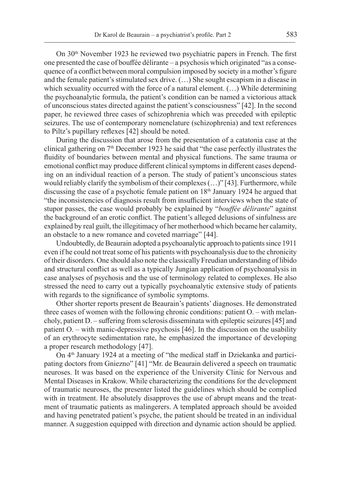On 30<sup>th</sup> November 1923 he reviewed two psychiatric papers in French. The first one presented the case of bouffée délirante *–* a psychosis which originated "as a consequence of a conflict between moral compulsion imposed by society in a mother's figure and the female patient's stimulated sex drive. (…) She sought escapism in a disease in which sexuality occurred with the force of a natural element. (...) While determining the psychoanalytic formula, the patient's condition can be named a victorious attack of unconscious states directed against the patient's consciousness" [42]. In the second paper, he reviewed three cases of schizophrenia which was preceded with epileptic seizures. The use of contemporary nomenclature (schizophrenia) and text references to Piltz's pupillary reflexes [42] should be noted.

During the discussion that arose from the presentation of a catatonia case at the clinical gathering on  $7<sup>th</sup>$  December 1923 he said that "the case perfectly illustrates the fluidity of boundaries between mental and physical functions. The same trauma or emotional conflict may produce different clinical symptoms in different cases depending on an individual reaction of a person. The study of patient's unconscious states would reliably clarify the symbolism of their complexes (…)" [43]. Furthermore, while discussing the case of a psychotic female patient on  $18<sup>th</sup>$  January 1924 he argued that "the inconsistencies of diagnosis result from insufficient interviews when the state of stupor passes, the case would probably be explained by "*bouffée délirante*" against the background of an erotic conflict. The patient's alleged delusions of sinfulness are explained by real guilt, the illegitimacy of her motherhood which became her calamity, an obstacle to a new romance and coveted marriage" [44].

Undoubtedly, de Beaurain adopted a psychoanalytic approach to patients since 1911 even if he could not treat some of his patients with psychoanalysis due to the chronicity of their disorders. One should also note the classically Freudian understanding of libido and structural conflict as well as a typically Jungian application of psychoanalysis in case analyses of psychosis and the use of terminology related to complexes. He also stressed the need to carry out a typically psychoanalytic extensive study of patients with regards to the significance of symbolic symptoms.

Other shorter reports present de Beaurain's patients' diagnoses. He demonstrated three cases of women with the following chronic conditions: patient O. – with melancholy, patient D. – suffering from sclerosis disseminata with epileptic seizures [45] and patient O. – with manic-depressive psychosis [46]. In the discussion on the usability of an erythrocyte sedimentation rate, he emphasized the importance of developing a proper research methodology [47].

On 4<sup>th</sup> January 1924 at a meeting of "the medical staff in Dziekanka and participating doctors from Gniezno" [41] "Mr. de Beaurain delivered a speech on traumatic neuroses. It was based on the experience of the University Clinic for Nervous and Mental Diseases in Krakow. While characterizing the conditions for the development of traumatic neuroses, the presenter listed the guidelines which should be complied with in treatment. He absolutely disapproves the use of abrupt means and the treatment of traumatic patients as malingerers. A templated approach should be avoided and having penetrated patient's psyche, the patient should be treated in an individual manner. A suggestion equipped with direction and dynamic action should be applied.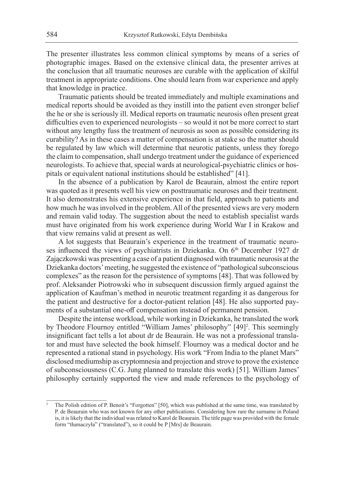The presenter illustrates less common clinical symptoms by means of a series of photographic images. Based on the extensive clinical data, the presenter arrives at the conclusion that all traumatic neuroses are curable with the application of skilful treatment in appropriate conditions. One should learn from war experience and apply that knowledge in practice.

Traumatic patients should be treated immediately and multiple examinations and medical reports should be avoided as they instill into the patient even stronger belief the he or she is seriously ill. Medical reports on traumatic neurosis often present great difficulties even to experienced neurologists – so would it not be more correct to start without any lengthy fuss the treatment of neurosis as soon as possible considering its curability? As in these cases a matter of compensation is at stake so the matter should be regulated by law which will determine that neurotic patients, unless they forego the claim to compensation, shall undergo treatment under the guidance of experienced neurologists. To achieve that, special wards at neurological-psychiatric clinics or hospitals or equivalent national institutions should be established" [41].

In the absence of a publication by Karol de Beaurain, almost the entire report was quoted as it presents well his view on posttraumatic neuroses and their treatment. It also demonstrates his extensive experience in that field, approach to patients and how much he was involved in the problem. All of the presented views are very modern and remain valid today. The suggestion about the need to establish specialist wards must have originated from his work experience during World War I in Krakow and that view remains valid at present as well.

A lot suggests that Beaurain's experience in the treatment of traumatic neuroses influenced the views of psychiatrists in Dziekanka. On 6<sup>th</sup> December 1927 dr Zajączkowski was presenting a case of a patient diagnosed with traumatic neurosis at the Dziekanka doctors' meeting, he suggested the existence of "pathological subconscious" complexes" as the reason for the persistence of symptoms [48]. That was followed by prof. Aleksander Piotrowski who in subsequent discussion firmly argued against the application of Kaufman's method in neurotic treatment regarding it as dangerous for the patient and destructive for a doctor-patient relation [48]. He also supported payments of a substantial one-off compensation instead of permanent pension.

Despite the intense workload, while working in Dziekanka, he translated the work by Theodore Flournoy entitled "William James' philosophy" [49]<sup>2</sup>. This seemingly insignificant fact tells a lot about dr de Beaurain. He was not a professional translator and must have selected the book himself. Flournoy was a medical doctor and he represented a rational stand in psychology. His work "From India to the planet Mars" disclosed mediumship as cryptomnesia and projection and strove to prove the existence of subconsciousness (C.G. Jung planned to translate this work) [51]. William James' philosophy certainly supported the view and made references to the psychology of

<sup>2</sup> The Polish edition of P. Benoit's "Forgotten" [50], which was published at the same time, was translated by P. de Beaurain who was not known for any other publications. Considering how rare the surname in Poland is, it is likely that the individual was related to Karol de Beaurain. The title page was provided with the female form "tłumaczyła" ("translated"), so it could be P [Mrs] de Beaurain.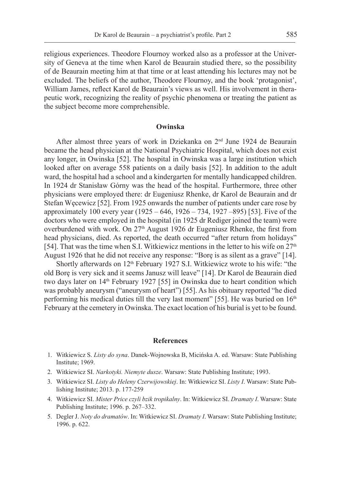religious experiences. Theodore Flournoy worked also as a professor at the University of Geneva at the time when Karol de Beaurain studied there, so the possibility of de Beaurain meeting him at that time or at least attending his lectures may not be excluded. The beliefs of the author, Theodore Flournoy, and the book 'protagonist', William James, reflect Karol de Beaurain's views as well. His involvement in therapeutic work, recognizing the reality of psychic phenomena or treating the patient as the subject become more comprehensible.

## **Owinska**

After almost three years of work in Dziekanka on 2<sup>nd</sup> June 1924 de Beaurain became the head physician at the National Psychiatric Hospital, which does not exist any longer, in Owinska [52]. The hospital in Owinska was a large institution which looked after on average 558 patients on a daily basis [52]. In addition to the adult ward, the hospital had a school and a kindergarten for mentally handicapped children. In 1924 dr Stanisław Górny was the head of the hospital. Furthermore, three other physicians were employed there: dr Eugeniusz Rhenke, dr Karol de Beaurain and dr Stefan Węcewicz [52]. From 1925 onwards the number of patients under care rose by approximately 100 every year (1925 – 646, 1926 – 734, 1927 –895) [53]. Five of the doctors who were employed in the hospital (in 1925 dr Rediger joined the team) were overburdened with work. On 27th August 1926 dr Eugeniusz Rhenke, the first from head physicians, died. As reported, the death occurred "after return from holidays" [54]. That was the time when S.I. Witkiewicz mentions in the letter to his wife on  $27<sup>th</sup>$ August 1926 that he did not receive any response: "Borę is as silent as a grave" [14].

Shortly afterwards on 12<sup>th</sup> February 1927 S.I. Witkiewicz wrote to his wife: "the old Borę is very sick and it seems Janusz will leave" [14]. Dr Karol de Beaurain died two days later on 14<sup>th</sup> February 1927 [55] in Owinska due to heart condition which was probably aneurysm ("aneurysm of heart") [55]. As his obituary reported "he died performing his medical duties till the very last moment" [55]. He was buried on 16<sup>th</sup> February at the cemetery in Owinska. The exact location of his burial is yet to be found.

#### **References**

- 1. Witkiewicz S. *Listy do syna*. Danek-Wojnowska B, Micińska A. ed. Warsaw: State Publishing Institute; 1969.
- 2. Witkiewicz SI. *Narkotyki. Niemyte dusze*. Warsaw: State Publishing Institute; 1993.
- 3. Witkiewicz SI. *Listy do Heleny Czerwijowskiej*. In: Witkiewicz SI. *Listy I*. Warsaw: State Publishing Institute; 2013. p. 177-259
- 4. Witkiewicz SI. *Mister Price czyli bzik tropikalny*. In: Witkiewicz SI. *Dramaty I*. Warsaw: State Publishing Institute; 1996. p. 267–332.
- 5. Degler J. *Noty do dramatów*. In: Witkiewicz SI. *Dramaty I*. Warsaw: State Publishing Institute; 1996. p. 622.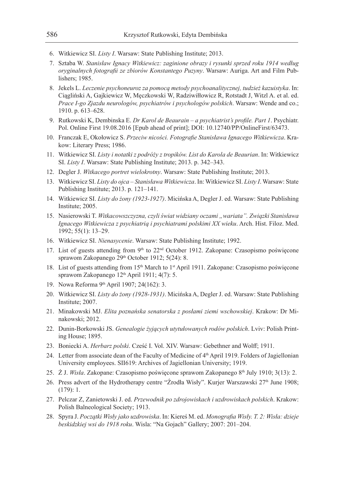- 6. Witkiewicz SI. *Listy I*. Warsaw: State Publishing Institute; 2013.
- 7. Sztaba W. *Stanisław Ignacy Witkiewicz: zaginione obrazy i rysunki sprzed roku 1914 według oryginalnych fotografii ze zbiorów Konstantego Puzyny*. Warsaw: Auriga. Art and Film Publishers; 1985.
- 8. Jekels L. *Leczenie psychoneuroz za pomocą metody psychoanalitycznej, tudzież kazuistyka*. In: Ciągliński A, Gajkiewicz W, Męczkowski W, Radziwiłłowicz R, Rotstadt J, Witzl A. et al. ed. *Prace I-go Zjazdu neurologów, psychiatrów i psychologów polskich*. Warsaw: Wende and co.; 1910. p. 613–628.
- 9. Rutkowski K, Dembinska E. *Dr Karol de Beaurain a psychiatrist's profile. Part 1*. Psychiatr. Pol. Online First 19.08.2016 [Epub ahead of print]; DOI: 10.12740/PP/OnlineFirst/63473.
- 10. Franczak E, Okołowicz S. *Przeciw nicości. Fotografie Stanisława Ignacego Witkiewicza*. Krakow: Literary Press; 1986.
- 11. Witkiewicz SI. *Listy i notatki z podróży z tropików. List do Karola de Beaurian*. In: Witkiewicz SI. *Listy I*. Warsaw: State Publishing Institute; 2013. p. 342–343.
- 12. Degler J. *Witkacego portret wielokrotny*. Warsaw: State Publishing Institute; 2013.
- 13. Witkiewicz SI. *Listy do ojca Stanisława Witkiewicza*. In: Witkiewicz SI. *Listy I*. Warsaw: State Publishing Institute; 2013. p. 121–141.
- 14. Witkiewicz SI. *Listy do żony (1923-1927)*. Micińska A, Degler J. ed. Warsaw: State Publishing Institute; 2005.
- 15. Nasierowski T. *Witkacowszczyzna, czyli świat widziany oczami "wariata". Związki Stanisława Ignacego Witkiewicza z psychiatrią i psychiatrami polskimi XX wieku*. Arch. Hist. Filoz. Med. 1992; 55(1): 13–29.
- 16. Witkiewicz SI. *Nienasycenie*. Warsaw: State Publishing Institute; 1992.
- 17. List of guests attending from  $9<sup>th</sup>$  to  $22<sup>nd</sup>$  October 1912. Zakopane: Czasopismo poświęcone sprawom Zakopanego 29<sup>th</sup> October 1912; 5(24): 8.
- 18. List of guests attending from 15th March to 1st April 1911. Zakopane: Czasopismo poświęcone sprawom Zakopanego 12<sup>th</sup> April 1911; 4(7): 5.
- 19. Nowa Reforma 9th April 1907; 24(162): 3.
- 20. Witkiewicz SI. *Listy do żony (1928-1931)*. Micińska A, Degler J. ed. Warsaw: State Publishing Institute; 2007.
- 21. Minakowski MJ. *Elita poznańska senatorska z posłami ziemi wschowskiej*. Krakow: Dr Minakowski; 2012.
- 22. Dunin-Borkowski JS. *Genealogie żyjących utytułowanych rodów polskich*. Lviv: Polish Printing House; 1895.
- 23. Boniecki A. *Herbarz polski*. Cześć I. Vol. XIV. Warsaw: Gebethner and Wolff; 1911.
- 24. Letter from associate dean of the Faculty of Medicine of 4<sup>th</sup> April 1919. Folders of Jagiellonian University employees. SII619: Archives of Jagiellonian University; 1919.
- 25. Ż J. *Wisła*. Zakopane: Czasopismo poświęcone sprawom Zakopanego 8<sup>th</sup> July 1910; 3(13): 2.
- 26. Press advert of the Hydrotherapy centre "Źrodła Wisły". Kurjer Warszawski 27th June 1908; (179): 1.
- 27. Pelczar Z, Zanietowski J. ed. *Przewodnik po zdrojowiskach i uzdrowiskach polskich*. Krakow: Polish Balneological Society; 1913.
- 28. Spyra J. *Początki Wisły jako uzdrowiska*. In: Kiereś M. ed. *Monografia Wisły. T. 2: Wisła: dzieje beskidzkiej wsi do 1918 roku*. Wisla: "Na Gojach" Gallery; 2007: 201–204.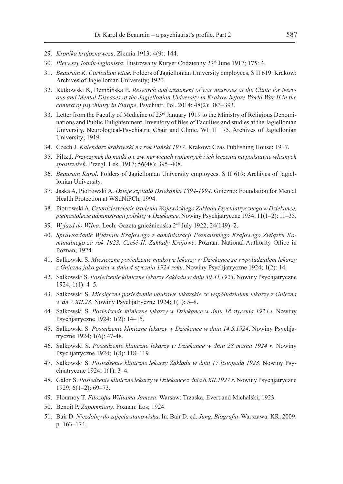- 29. *Kronika krajoznawcza*. Ziemia 1913; 4(9): 144.
- 30. *Pierwszy lotnik-legionista*. Ilustrowany Kuryer Codzienny 27th June 1917; 175: 4.
- 31. *Beaurain K. Curiculum vitae*. Folders of Jagiellonian University employees, S II 619. Krakow: Archives of Jagiellonian University; 1920.
- 32. Rutkowski K, Dembińska E. *Research and treatment of war neuroses at the Clinic for Nervous and Mental Diseases at the Jagiellonian University in Krakow before World War II in the context of psychiatry in Europe*. Psychiatr. Pol. 2014; 48(2): 383–393.
- 33. Letter from the Faculty of Medicine of 23<sup>rd</sup> January 1919 to the Ministry of Religious Denominations and Public Enlightenment. Inventory of files of Faculties and studies at the Jagiellonian University. Neurological-Psychiatric Chair and Clinic. WL II 175. Archives of Jagiellonian University; 1919.
- 34. Czech J. *Kalendarz krakowski na rok Pański 1917*. Krakow: Czas Publishing House; 1917.
- 35. Piltz J. *Przyczynek do nauki o t. zw. nerwicach wojennych i ich leczeniu na podstawie własnych spostrzeżeń*. Przegl. Lek. 1917; 56(48): 395–408.
- 36. *Beaurain Karol*. Folders of Jagiellonian University employees. S II 619: Archives of Jagiellonian University.
- 37. Jaska A, Piotrowski A. *Dzieje szpitala Dziekanka 1894-1994*. Gniezno: Foundation for Mental Health Protection at WSdNiPCh; 1994.
- 38. Piotrowski A. *Czterdziestolecie istnienia Wojewózkiego Zakładu Psychiatrycznego w Dziekance, piętnastolecie administracji polskiej w Dziekance*. Nowiny Psychjatryczne 1934; 11(1–2): 11–35.
- 39. *Wyjazd do Wilna*. Lech: Gazeta gnieźnieńska 2nd July 1922; 24(149): 2.
- 40. *Sprawozdanie Wydziału Krajowego z administracji Poznańskiego Krajowego Związku Komunalnego za rok 1923. Cześć II. Zakłady Krajowe*. Poznan: National Authority Office in Poznan; 1924.
- 41. Salkowski S. *Mięsieczne posiedzenie naukowe lekarzy w Dziekance ze wspołudziałem lekarzy z Gniezna jako gości w dniu 4 stycznia 1924 roku*. Nowiny Psychjatryczne 1924; 1(2): 14.
- 42. Salkowski S. *Posiedzenie kliniczne lekarzy Zakładu w dniu 30.XI.1923*. Nowiny Psychjatryczne 1924; 1(1): 4–5.
- 43. Salkowski S. *Miesięczne posiedzenie naukowe lekarskie ze współudziałem lekarzy z Gniezna w dn.7.XII.23*. Nowiny Psychjatryczne 1924; 1(1): 5–8.
- 44. Salkowski S. Posiedzenie kliniczne lekarzy w Dziekance w dniu 18 stycznia 1924 r. Nowiny Psychjatryczne 1924: 1(2): 14–15.
- 45. Salkowski S. *Posiedzenie kliniczne lekarzy w Dziekance w dniu 14.5.1924*. Nowiny Psychjatryczne 1924; 1(6): 47**-**48.
- 46. Salkowski S. *Posiedzenie kliniczne lekarzy w Dziekance w dniu 28 marca 1924 r*. Nowiny Psychjatryczne 1924; 1(8): 118–119.
- 47. Salkowski S. *Posiedzenie kliniczne lekarzy Zakładu w dniu 17 listopada 1923*. Nowiny Psychjatryczne 1924; 1(1): 3–4.
- 48. Galon S. *Posiedzenie kliniczne lekarzy w Dziekance z dnia 6.XII.1927 r*. Nowiny Psychjatryczne 1929; 6(1–2): 69–73.
- 49. Flournoy T. *Filozofia Williama Jamesa*. Warsaw: Trzaska, Evert and Michalski; 1923.
- 50. Benoit P. *Zapomniany*. Poznan: Eos; 1924.
- 51. Bair D. *Niezdolny do zajęcia stanowiska*. In: Bair D. ed. *Jung. Biografia*. Warszawa: KR; 2009. p. 163–174.